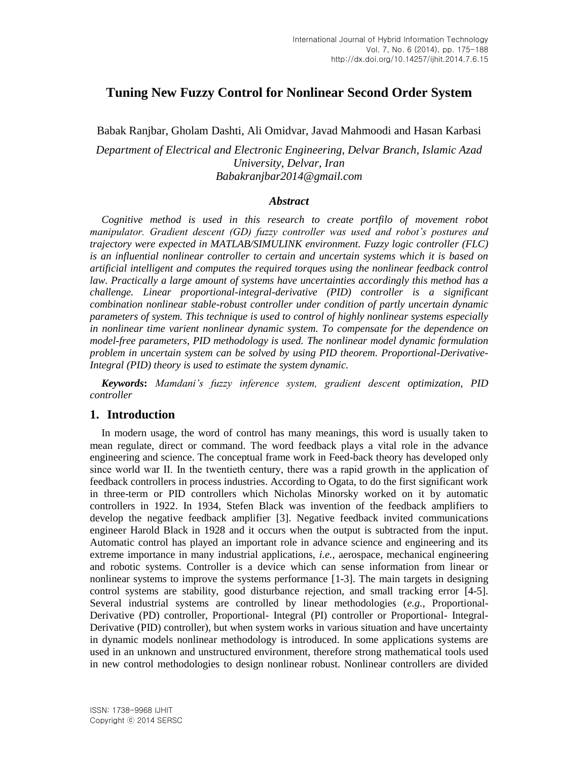# **Tuning New Fuzzy Control for Nonlinear Second Order System**

Babak Ranjbar, Gholam Dashti, Ali Omidvar, Javad Mahmoodi and Hasan Karbasi

*Department of Electrical and Electronic Engineering, Delvar Branch, Islamic Azad University, Delvar, Iran Babakranjbar2014@gmail.com*

#### *Abstract*

*Cognitive method is used in this research to create portfilo of movement robot manipulator. Gradient descent (GD) fuzzy controller was used and robot's postures and trajectory were expected in MATLAB/SIMULINK environment. Fuzzy logic controller (FLC) is an influential nonlinear controller to certain and uncertain systems which it is based on artificial intelligent and computes the required torques using the nonlinear feedback control law. Practically a large amount of systems have uncertainties accordingly this method has a challenge. Linear proportional-integral-derivative (PID) controller is a significant combination nonlinear stable-robust controller under condition of partly uncertain dynamic parameters of system. This technique is used to control of highly nonlinear systems especially in nonlinear time varient nonlinear dynamic system. To compensate for the dependence on model-free parameters, PID methodology is used. The nonlinear model dynamic formulation problem in uncertain system can be solved by using PID theorem. Proportional-Derivative-Integral (PID) theory is used to estimate the system dynamic.* 

*Keywords***:** *Mamdani's fuzzy inference system, gradient descent optimization, PID controller*

#### **1. Introduction**

In modern usage, the word of control has many meanings, this word is usually taken to mean regulate, direct or command. The word feedback plays a vital role in the advance engineering and science. The conceptual frame work in Feed-back theory has developed only since world war ІІ. In the twentieth century, there was a rapid growth in the application of feedback controllers in process industries. According to Ogata, to do the first significant work in three-term or PID controllers which Nicholas Minorsky worked on it by automatic controllers in 1922. In 1934, Stefen Black was invention of the feedback amplifiers to develop the negative feedback amplifier [3]. Negative feedback invited communications engineer Harold Black in 1928 and it occurs when the output is subtracted from the input. Automatic control has played an important role in advance science and engineering and its extreme importance in many industrial applications, *i.e.*, aerospace, mechanical engineering and robotic systems. Controller is a device which can sense information from linear or nonlinear systems to improve the systems performance [1-3]. The main targets in designing control systems are stability, good disturbance rejection, and small tracking error [4-5]. Several industrial systems are controlled by linear methodologies (*e.g.*, Proportional-Derivative (PD) controller, Proportional- Integral (PI) controller or Proportional- Integral-Derivative (PID) controller), but when system works in various situation and have uncertainty in dynamic models nonlinear methodology is introduced. In some applications systems are used in an unknown and unstructured environment, therefore strong mathematical tools used in new control methodologies to design nonlinear robust. Nonlinear controllers are divided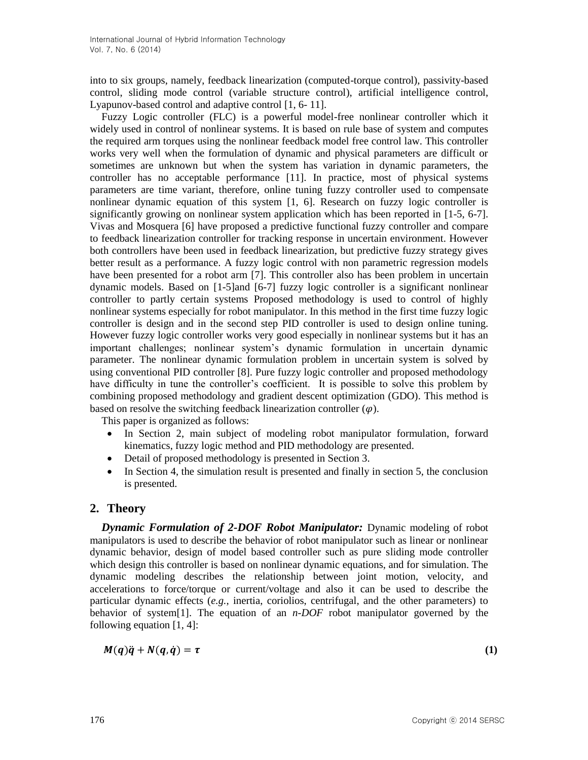into to six groups, namely, feedback linearization (computed-torque control), passivity-based control, sliding mode control (variable structure control), artificial intelligence control, Lyapunov-based control and adaptive control [1, 6- 11].

Fuzzy Logic controller (FLC) is a powerful model-free nonlinear controller which it widely used in control of nonlinear systems. It is based on rule base of system and computes the required arm torques using the nonlinear feedback model free control law. This controller works very well when the formulation of dynamic and physical parameters are difficult or sometimes are unknown but when the system has variation in dynamic parameters, the controller has no acceptable performance [11]. In practice, most of physical systems parameters are time variant, therefore, online tuning fuzzy controller used to compensate nonlinear dynamic equation of this system [1, 6]. Research on fuzzy logic controller is significantly growing on nonlinear system application which has been reported in [1-5, 6-7]. Vivas and Mosquera [6] have proposed a predictive functional fuzzy controller and compare to feedback linearization controller for tracking response in uncertain environment. However both controllers have been used in feedback linearization, but predictive fuzzy strategy gives better result as a performance. A fuzzy logic control with non parametric regression models have been presented for a robot arm [7]. This controller also has been problem in uncertain dynamic models. Based on [1-5]and [6-7] fuzzy logic controller is a significant nonlinear controller to partly certain systems Proposed methodology is used to control of highly nonlinear systems especially for robot manipulator. In this method in the first time fuzzy logic controller is design and in the second step PID controller is used to design online tuning. However fuzzy logic controller works very good especially in nonlinear systems but it has an important challenges; nonlinear system's dynamic formulation in uncertain dynamic parameter. The nonlinear dynamic formulation problem in uncertain system is solved by using conventional PID controller [8]. Pure fuzzy logic controller and proposed methodology have difficulty in tune the controller's coefficient. It is possible to solve this problem by combining proposed methodology and gradient descent optimization (GDO). This method is based on resolve the switching feedback linearization controller  $(\varphi)$ .

This paper is organized as follows:

- In Section 2, main subject of modeling robot manipulator formulation, forward kinematics, fuzzy logic method and PID methodology are presented.
- Detail of proposed methodology is presented in Section 3.
- In Section 4, the simulation result is presented and finally in section 5, the conclusion is presented.

## **2. Theory**

*Dynamic Formulation of 2-DOF Robot Manipulator: Dynamic modeling of robot* manipulators is used to describe the behavior of robot manipulator such as linear or nonlinear dynamic behavior, design of model based controller such as pure sliding mode controller which design this controller is based on nonlinear dynamic equations, and for simulation. The dynamic modeling describes the relationship between joint motion, velocity, and accelerations to force/torque or current/voltage and also it can be used to describe the particular dynamic effects (*e.g.*, inertia, coriolios, centrifugal, and the other parameters) to behavior of system[1]. The equation of an *n-DOF* robot manipulator governed by the following equation [1, 4]:

$$
M(q)\ddot{q} + N(q,\dot{q}) = \tau \tag{1}
$$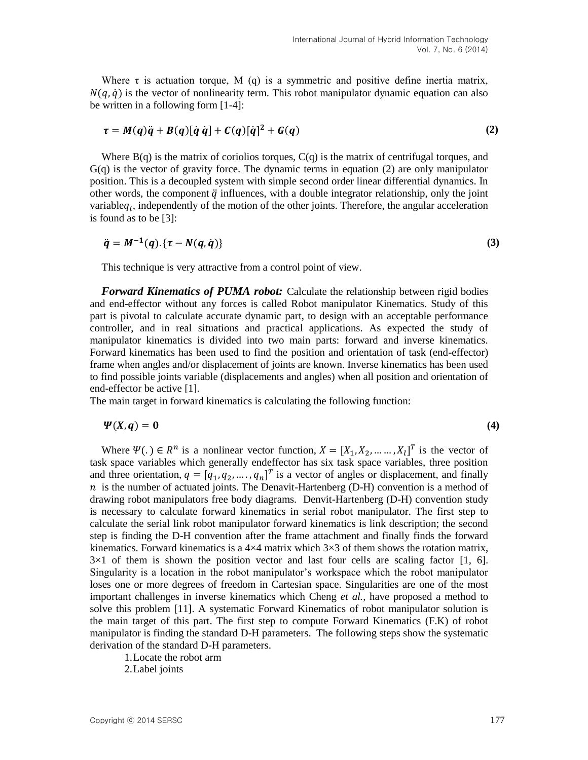Where  $\tau$  is actuation torque, M (q) is a symmetric and positive define inertia matrix,  $N(q, \dot{q})$  is the vector of nonlinearity term. This robot manipulator dynamic equation can also be written in a following form [1-4]:

$$
\tau = M(q)\ddot{q} + B(q)[\dot{q}\dot{q}] + C(q)[\dot{q}]^2 + G(q) \qquad (2)
$$

Where  $B(q)$  is the matrix of coriolios torques,  $C(q)$  is the matrix of centrifugal torques, and G(q) is the vector of gravity force. The dynamic terms in equation (2) are only manipulator position. This is a decoupled system with simple second order linear differential dynamics. In other words, the component  $\ddot{q}$  influences, with a double integrator relationship, only the joint variable $q_i$ , independently of the motion of the other joints. Therefore, the angular acceleration is found as to be [3]:

$$
\ddot{q} = M^{-1}(q) \cdot \{ \tau - N(q, \dot{q}) \} \tag{3}
$$

This technique is very attractive from a control point of view.

*Forward Kinematics of PUMA robot:* Calculate the relationship between rigid bodies and end-effector without any forces is called Robot manipulator Kinematics. Study of this part is pivotal to calculate accurate dynamic part, to design with an acceptable performance controller, and in real situations and practical applications. As expected the study of manipulator kinematics is divided into two main parts: forward and inverse kinematics. Forward kinematics has been used to find the position and orientation of task (end-effector) frame when angles and/or displacement of joints are known. Inverse kinematics has been used to find possible joints variable (displacements and angles) when all position and orientation of end-effector be active [1].

The main target in forward kinematics is calculating the following function:

$$
\Psi(X,q) = 0 \tag{4}
$$

Where  $\Psi(.) \in R^n$  is a nonlinear vector function,  $X = [X_1, X_2, ..., X_l]^T$  is the vector of task space variables which generally endeffector has six task space variables, three position and three orientation,  $q = [q_1, q_2, ..., q_n]^T$  is a vector of angles or displacement, and finally  $n$  is the number of actuated joints. The Denavit-Hartenberg (D-H) convention is a method of drawing robot manipulators free body diagrams. Denvit-Hartenberg (D-H) convention study is necessary to calculate forward kinematics in serial robot manipulator. The first step to calculate the serial link robot manipulator forward kinematics is link description; the second step is finding the D-H convention after the frame attachment and finally finds the forward kinematics. Forward kinematics is a  $4\times4$  matrix which  $3\times3$  of them shows the rotation matrix,  $3\times1$  of them is shown the position vector and last four cells are scaling factor [1, 6]. Singularity is a location in the robot manipulator's workspace which the robot manipulator loses one or more degrees of freedom in Cartesian space. Singularities are one of the most important challenges in inverse kinematics which Cheng *et al.*, have proposed a method to solve this problem [11]. A systematic Forward Kinematics of robot manipulator solution is the main target of this part. The first step to compute Forward Kinematics (F.K) of robot manipulator is finding the standard D-H parameters. The following steps show the systematic derivation of the standard D-H parameters.

1.Locate the robot arm

2.Label joints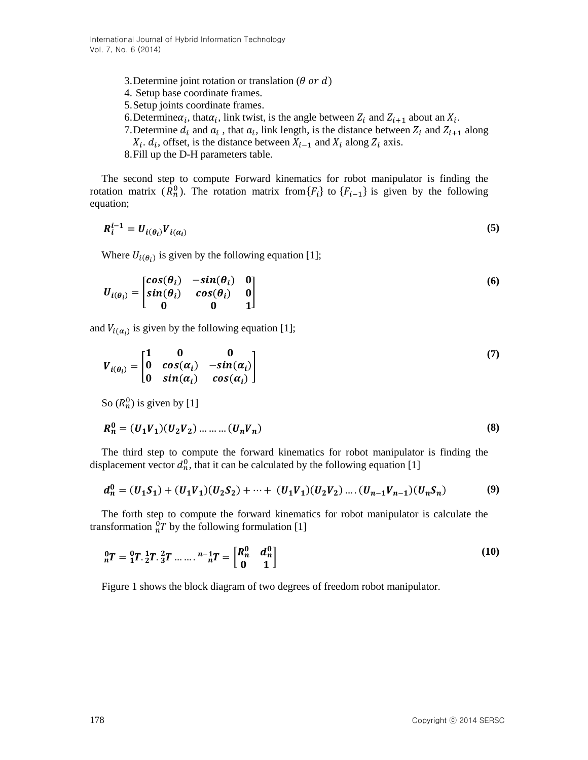- 3. Determine joint rotation or translation ( $\theta$  or  $d$ )
- 4. Setup base coordinate frames.
- 5.Setup joints coordinate frames.
- 6. Determine $\alpha_i$ , that  $\alpha_i$ , link twist, is the angle between  $Z_i$  and  $Z_{i+1}$  about an  $X_i$ .
- 7. Determine  $d_i$  and  $a_i$ , that  $a_i$ , link length, is the distance between  $Z_i$  and  $Z_{i+1}$  along  $X_i$ .  $d_i$ , offset, is the distance between  $X_{i-1}$  and  $X_i$  along  $Z_i$  axis.
- 8.Fill up the D-H parameters table.

The second step to compute Forward kinematics for robot manipulator is finding the rotation matrix  $(R_n^0)$ . The rotation matrix from  $\{F_i\}$  to  $\{F_{i-1}\}$  is given by the following equation;

$$
R_i^{i-1} = U_{i(\theta_i)} V_{i(\alpha_i)}
$$
\n<sup>(5)</sup>

Where  $U_{i(\theta_i)}$  is given by the following equation [1];

$$
U_{i(\theta_i)} = \begin{bmatrix} cos(\theta_i) & -sin(\theta_i) & 0 \\ sin(\theta_i) & cos(\theta_i) & 0 \\ 0 & 0 & 1 \end{bmatrix}
$$
 (6)

and  $V_{i(\alpha_i)}$  is given by the following equation [1];

$$
V_{i(\theta_i)} = \begin{bmatrix} 1 & 0 & 0 \\ 0 & \cos(\alpha_i) & -\sin(\alpha_i) \\ 0 & \sin(\alpha_i) & \cos(\alpha_i) \end{bmatrix}
$$
 (7)

So  $(R_n^0)$  is given by [1]

$$
R_n^0 = (U_1 V_1)(U_2 V_2) \dots \dots \dots (U_n V_n)
$$
\n(8)

The third step to compute the forward kinematics for robot manipulator is finding the displacement vector  $d_n^0$ , that it can be calculated by the following equation [1]

$$
d_n^0 = (U_1S_1) + (U_1V_1)(U_2S_2) + \dots + (U_1V_1)(U_2V_2) \dots (U_{n-1}V_{n-1})(U_nS_n)
$$
\n(9)

The forth step to compute the forward kinematics for robot manipulator is calculate the transformation  ${}_{n}^{0}T$  by the following formulation [1]

$$
{}_{n}^{0}T = {}_{1}^{0}T. \, {}_{2}^{1}T. \, {}_{3}^{2}T \, \dots \, {}_{n}^{n-1}T = \begin{bmatrix} R_{n}^{0} & d_{n}^{0} \\ 0 & 1 \end{bmatrix} \tag{10}
$$

Figure 1 shows the block diagram of two degrees of freedom robot manipulator.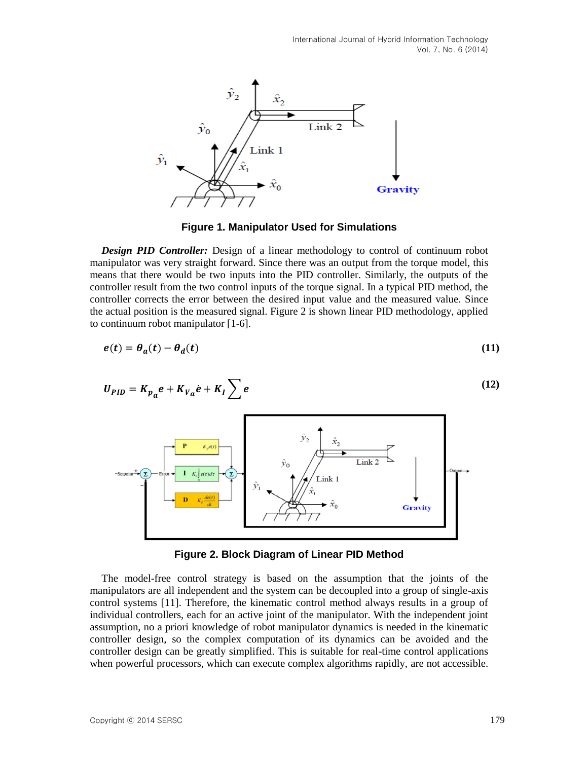International Journal of Hybrid Information Technology Vol. 7, No. 6 (2014)



**Figure 1. Manipulator Used for Simulations**

*Design PID Controller:* Design of a linear methodology to control of continuum robot manipulator was very straight forward. Since there was an output from the torque model, this means that there would be two inputs into the PID controller. Similarly, the outputs of the controller result from the two control inputs of the torque signal. In a typical PID method, the controller corrects the error between the desired input value and the measured value. Since the actual position is the measured signal. Figure 2 is shown linear PID methodology, applied to continuum robot manipulator [1-6].

$$
e(t) = \theta_a(t) - \theta_d(t) \tag{11}
$$

$$
U_{PID} = K_{p_a} e + K_{V_a} \dot{e} + K_I \sum e
$$
\n(12)



**Figure 2. Block Diagram of Linear PID Method**

The model-free control strategy is based on the assumption that the joints of the manipulators are all independent and the system can be decoupled into a group of single-axis control systems [11]. Therefore, the kinematic control method always results in a group of individual controllers, each for an active joint of the manipulator. With the independent joint assumption, no a priori knowledge of robot manipulator dynamics is needed in the kinematic controller design, so the complex computation of its dynamics can be avoided and the controller design can be greatly simplified. This is suitable for real-time control applications when powerful processors, which can execute complex algorithms rapidly, are not accessible.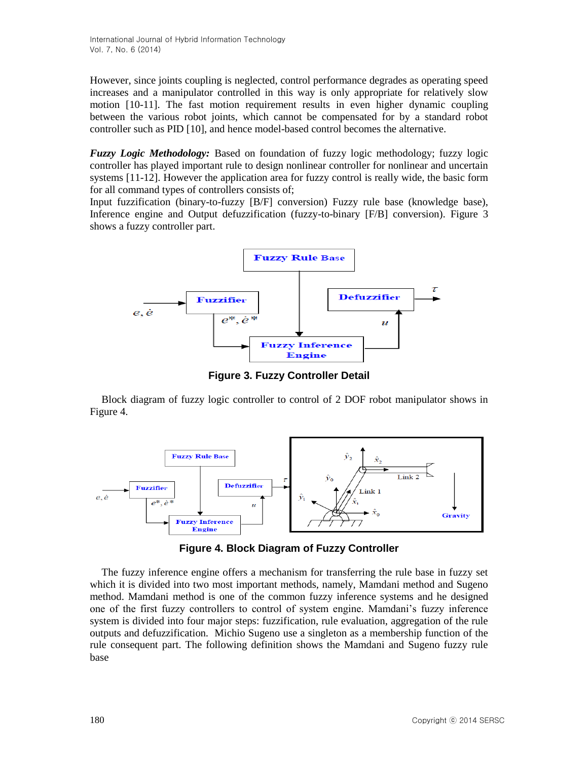International Journal of Hybrid Information Technology Vol. 7, No. 6 (2014)

However, since joints coupling is neglected, control performance degrades as operating speed increases and a manipulator controlled in this way is only appropriate for relatively slow motion [10-11]. The fast motion requirement results in even higher dynamic coupling between the various robot joints, which cannot be compensated for by a standard robot controller such as PID [10], and hence model-based control becomes the alternative.

*Fuzzy Logic Methodology:* Based on foundation of fuzzy logic methodology; fuzzy logic controller has played important rule to design nonlinear controller for nonlinear and uncertain systems [11-12]. However the application area for fuzzy control is really wide, the basic form for all command types of controllers consists of;

Input fuzzification (binary-to-fuzzy [B/F] conversion) Fuzzy rule base (knowledge base), Inference engine and Output defuzzification (fuzzy-to-binary [F/B] conversion). Figure 3 shows a fuzzy controller part.



**Figure 3. Fuzzy Controller Detail**

Block diagram of fuzzy logic controller to control of 2 DOF robot manipulator shows in Figure 4.



**Figure 4. Block Diagram of Fuzzy Controller**

The fuzzy inference engine offers a mechanism for transferring the rule base in fuzzy set which it is divided into two most important methods, namely, Mamdani method and Sugeno method. Mamdani method is one of the common fuzzy inference systems and he designed one of the first fuzzy controllers to control of system engine. Mamdani's fuzzy inference system is divided into four major steps: fuzzification, rule evaluation, aggregation of the rule outputs and defuzzification. Michio Sugeno use a singleton as a membership function of the rule consequent part. The following definition shows the Mamdani and Sugeno fuzzy rule base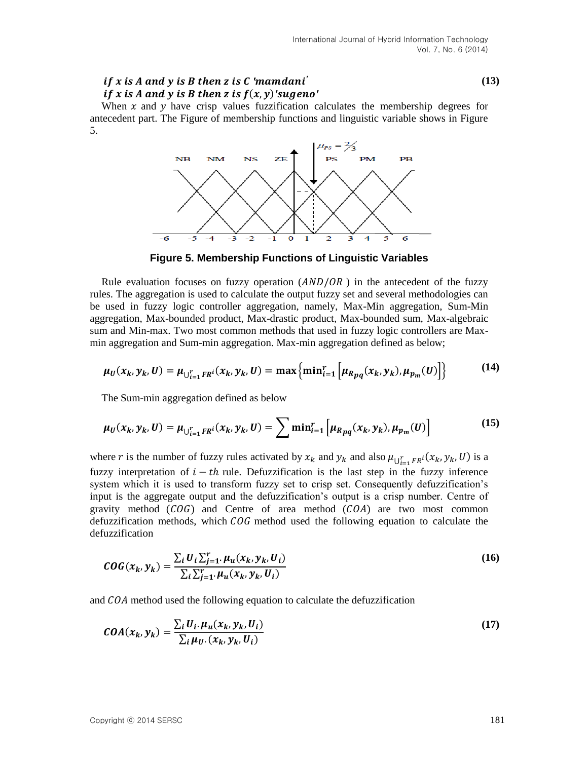#### *′ ′ if* x is A and y is B then z is  $f(x, y)'$ sugeno'

When  $x$  and  $y$  have crisp values fuzzification calculates the membership degrees for antecedent part. The Figure of membership functions and linguistic variable shows in Figure 5.



**Figure 5. Membership Functions of Linguistic Variables**

Rule evaluation focuses on fuzzy operation  $(AND/OR)$  in the antecedent of the fuzzy rules. The aggregation is used to calculate the output fuzzy set and several methodologies can be used in fuzzy logic controller aggregation, namely, Max-Min aggregation, Sum-Min aggregation, Max-bounded product, Max-drastic product, Max-bounded sum, Max-algebraic sum and Min-max. Two most common methods that used in fuzzy logic controllers are Maxmin aggregation and Sum-min aggregation. Max-min aggregation defined as below;

$$
\mu_U(x_k, y_k, U) = \mu_{\bigcup_{i=1}^r F R^i}(x_k, y_k, U) = \max \{ \min_{i=1}^r \left[ \mu_{Rpq}(x_k, y_k), \mu_{p_m}(U) \right] \} \tag{14}
$$

The Sum-min aggregation defined as below

$$
\mu_U(x_k, y_k, U) = \mu_{\bigcup_{i=1}^r F R^i}(x_k, y_k, U) = \sum \min_{i=1}^r \left[ \mu_{R_{pq}}(x_k, y_k), \mu_{p_m}(U) \right]
$$
(15)

where r is the number of fuzzy rules activated by  $x_k$  and  $y_k$  and also  $\mu_{\bigcup_{i=1}^r F R^i}(x_k, y_k, U)$  is a fuzzy interpretation of  $i - th$  rule. Defuzzification is the last step in the fuzzy inference system which it is used to transform fuzzy set to crisp set. Consequently defuzzification's input is the aggregate output and the defuzzification's output is a crisp number. Centre of gravity method  $(COG)$  and Centre of area method  $(COA)$  are two most common defuzzification methods, which  $COG$  method used the following equation to calculate the defuzzification

$$
COG(x_k, y_k) = \frac{\sum_i U_i \sum_{j=1}^r \mu_u(x_k, y_k, U_i)}{\sum_i \sum_{j=1}^r \mu_u(x_k, y_k, U_i)}
$$
(16)

and  $COA$  method used the following equation to calculate the defuzzification

$$
COA(x_k, y_k) = \frac{\sum_i U_i \mu_u(x_k, y_k, U_i)}{\sum_i \mu_v(x_k, y_k, U_i)}
$$
(17)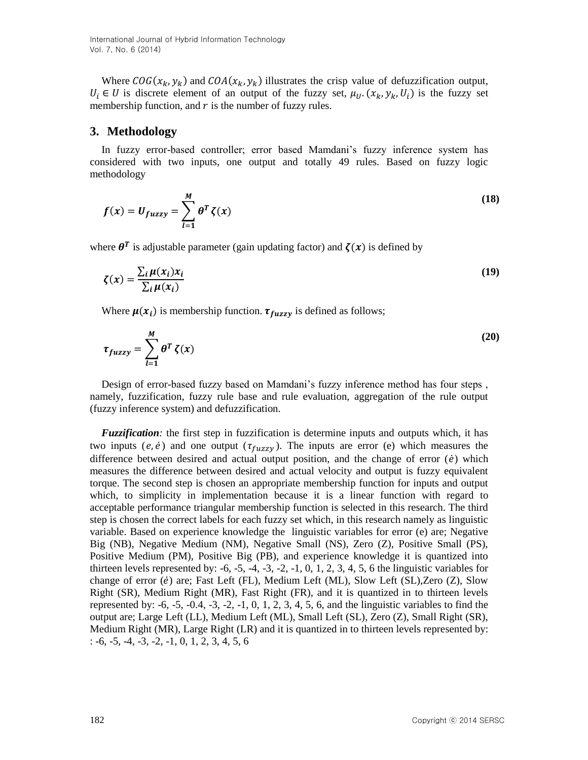Where  $COG(x_k, y_k)$  and  $COA(x_k, y_k)$  illustrates the crisp value of defuzzification output,  $U_i \in U$  is discrete element of an output of the fuzzy set,  $\mu_U$ .  $(x_k, y_k, U_i)$  is the fuzzy set membership function, and  $r$  is the number of fuzzy rules.

### **3. Methodology**

In fuzzy error-based controller; error based Mamdani's fuzzy inference system has considered with two inputs, one output and totally 49 rules. Based on fuzzy logic methodology

$$
f(x) = U_{fuzzy} = \sum_{l=1}^{M} \theta^T \zeta(x)
$$
\n(18)

where  $\theta^T$  is adjustable parameter (gain updating factor) and  $\zeta(x)$  is defined by

$$
\zeta(x) = \frac{\sum_{i} \mu(x_i) x_i}{\sum_{i} \mu(x_i)}
$$
(19)

Where  $\mu(x_i)$  is membership function.  $\tau_{fuzzy}$  is defined as follows;

$$
\tau_{fuzzy} = \sum_{l=1}^{M} \theta^T \zeta(x) \tag{20}
$$

Design of error-based fuzzy based on Mamdani's fuzzy inference method has four steps , namely, fuzzification, fuzzy rule base and rule evaluation, aggregation of the rule output (fuzzy inference system) and defuzzification.

*Fuzzification:* the first step in fuzzification is determine inputs and outputs which, it has two inputs (e,  $\dot{e}$ ) and one output ( $\tau_{fuzzy}$ ). The inputs are error (e) which measures the difference between desired and actual output position, and the change of error  $(\dot{e})$  which measures the difference between desired and actual velocity and output is fuzzy equivalent torque. The second step is chosen an appropriate membership function for inputs and output which, to simplicity in implementation because it is a linear function with regard to acceptable performance triangular membership function is selected in this research. The third step is chosen the correct labels for each fuzzy set which, in this research namely as linguistic variable. Based on experience knowledge the linguistic variables for error (e) are; Negative Big (NB), Negative Medium (NM), Negative Small (NS), Zero (Z), Positive Small (PS), Positive Medium (PM), Positive Big (PB), and experience knowledge it is quantized into thirteen levels represented by:  $-6, -5, -4, -3, -2, -1, 0, 1, 2, 3, 4, 5, 6$  the linguistic variables for change of error (*ė*) are; Fast Left (FL), Medium Left (ML), Slow Left (SL),Zero (Z), Slow Right (SR), Medium Right (MR), Fast Right (FR), and it is quantized in to thirteen levels represented by:  $-6$ ,  $-5$ ,  $-0.4$ ,  $-3$ ,  $-2$ ,  $-1$ ,  $0$ ,  $1$ ,  $2$ ,  $3$ ,  $4$ ,  $5$ ,  $6$ , and the linguistic variables to find the output are; Large Left (LL), Medium Left (ML), Small Left (SL), Zero (Z), Small Right (SR), Medium Right (MR), Large Right (LR) and it is quantized in to thirteen levels represented by:  $: -6, -5, -4, -3, -2, -1, 0, 1, 2, 3, 4, 5, 6$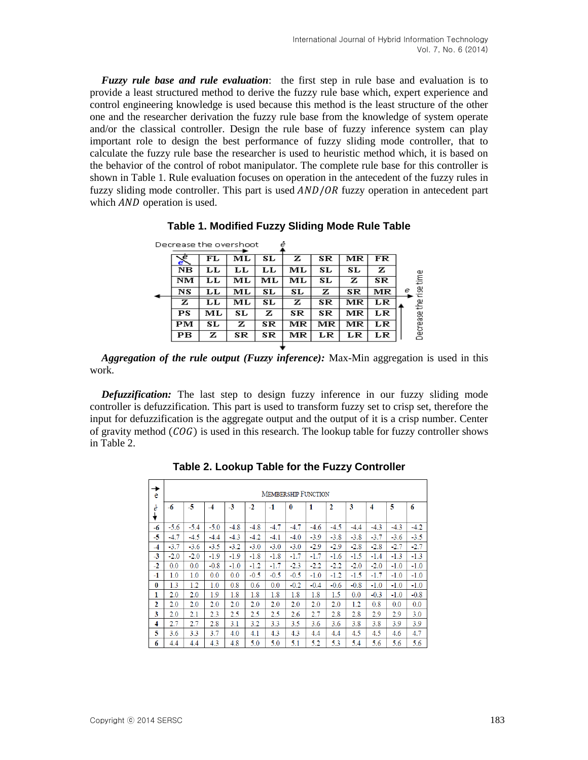*Fuzzy rule base and rule evaluation*: the first step in rule base and evaluation is to provide a least structured method to derive the fuzzy rule base which, expert experience and control engineering knowledge is used because this method is the least structure of the other one and the researcher derivation the fuzzy rule base from the knowledge of system operate and/or the classical controller. Design the rule base of fuzzy inference system can play important role to design the best performance of fuzzy sliding mode controller, that to calculate the fuzzy rule base the researcher is used to heuristic method which, it is based on the behavior of the control of robot manipulator. The complete rule base for this controller is shown in Table 1. Rule evaluation focuses on operation in the antecedent of the fuzzy rules in fuzzy sliding mode controller. This part is used  $AND/OR$  fuzzy operation in antecedent part which *AND* operation is used.

|                               |    | Decrease the overshoot |    | ė  |    |    |    |             |
|-------------------------------|----|------------------------|----|----|----|----|----|-------------|
| $\overline{\mathcal{C}}$<br>e | FL | мL                     | SL | z  | SR | мĸ | FR |             |
| NB                            | LL | LL                     | LL | ML | SL | SL | z  | a,          |
| NM                            | LL | МL                     | МL | МL | SL | z  | SR | tim         |
| NS                            | LL | МL                     | SL | SL | z  | SR | MR | g<br>е<br>Έ |
| z                             | LL | ML                     | SL | z  | SR | MR | LR | 소수          |
| PS                            | ML | SL                     | z  | SR | SR | MR | LR |             |
| PМ                            | SL | z                      | SR | MR | MR | MR | LR | Decrease    |
| PВ                            | z  | SR                     | SR | MR | LR | LR | LR |             |
|                               |    |                        |    |    |    |    |    |             |

**Table 1. Modified Fuzzy Sliding Mode Rule Table**

*Aggregation of the rule output (Fuzzy inference):* Max-Min aggregation is used in this work.

*Defuzzification:* The last step to design fuzzy inference in our fuzzy sliding mode controller is defuzzification. This part is used to transform fuzzy set to crisp set, therefore the input for defuzzification is the aggregate output and the output of it is a crisp number. Center of gravity method  $(COG)$  is used in this research. The lookup table for fuzzy controller shows in Table 2.

| →<br>e   | <b>MEMBERSHIP FUNCTION</b> |        |        |        |        |        |        |        |              |        |        |        |        |
|----------|----------------------------|--------|--------|--------|--------|--------|--------|--------|--------------|--------|--------|--------|--------|
| ė        | -6                         | $-5$   | $-4$   | $-3$   | $-2$   | $-1$   | 0      | 1      | $\mathbf{2}$ | 3      | 4      | 5      | 6      |
| -6       | $-5.6$                     | $-5.4$ | $-5.0$ | $-4.8$ | $-4.8$ | $-4.7$ | $-4.7$ | $-4.6$ | $-4.5$       | $-4.4$ | $-4.3$ | $-4.3$ | $-4.2$ |
| -5       | $-4.7$                     | $-4.5$ | $-4.4$ | $-4.3$ | $-4.2$ | $-4.1$ | $-4.0$ | $-3.9$ | $-3.8$       | $-3.8$ | $-3.7$ | $-3.6$ | $-3.5$ |
| $-4$     | $-3.7$                     | $-3.6$ | $-3.5$ | $-3.2$ | $-3.0$ | $-3.0$ | $-3.0$ | $-2.9$ | $-2.9$       | $-2.8$ | $-2.8$ | $-2.7$ | $-2.7$ |
| $-3$     | $-2.0$                     | $-2.0$ | $-1.9$ | $-1.9$ | $-1.8$ | $-1.8$ | $-1.7$ | $-1.7$ | $-1.6$       | $-1.5$ | $-1.4$ | $-1.3$ | $-1.3$ |
| $-2$     | 0.0                        | 0.0    | $-0.8$ | $-1.0$ | $-1.2$ | $-1.7$ | $-2.3$ | $-2.2$ | $-2.2$       | $-2.0$ | $-2.0$ | $-1.0$ | $-1.0$ |
| $-1$     | 1.0                        | 1.0    | 0.0    | 0.0    | $-0.5$ | $-0.5$ | $-0.5$ | $-1.0$ | $-1.2$       | $-1.5$ | $-1.7$ | $-1.0$ | $-1.0$ |
| $\bf{0}$ | 1.3                        | 1.2    | 1.0    | 0.8    | 0.6    | 0.0    | $-0.2$ | $-0.4$ | $-0.6$       | $-0.8$ | $-1.0$ | $-1.0$ | $-1.0$ |
| 1        | 2.0                        | 2.0    | 1.9    | 1.8    | 1.8    | 1.8    | 1.8    | 1.8    | 1.5          | 0.0    | $-0.3$ | $-1.0$ | $-0.8$ |
| 2        | 2.0                        | 2.0    | 2.0    | 2.0    | 2.0    | 2.0    | 2.0    | 2.0    | 2.0          | 1.2    | 0.8    | 0.0    | 0.0    |
| 3        | 2.0                        | 2.1    | 2.3    | 2.5    | 2.5    | 2.5    | 2.6    | 2.7    | 2.8          | 2.8    | 2.9    | 2.9    | 3.0    |
| 4        | 2.7                        | 2.7    | 2.8    | 3.1    | 3.2    | 3.3    | 3.5    | 3.6    | 3.6          | 3.8    | 3.8    | 3.9    | 3.9    |
| 5        | 3.6                        | 3.3    | 3.7    | 4.0    | 4.1    | 4.3    | 4.3    | 4.4    | 4.4          | 4.5    | 4.5    | 4.6    | 4.7    |
| 6        | 4.4                        | 4.4    | 4.3    | 4.8    | 5.0    | 5.0    | 5.1    | 5.2    | 5.3          | 5.4    | 5.6    | 5.6    | 5.6    |

**Table 2. Lookup Table for the Fuzzy Controller**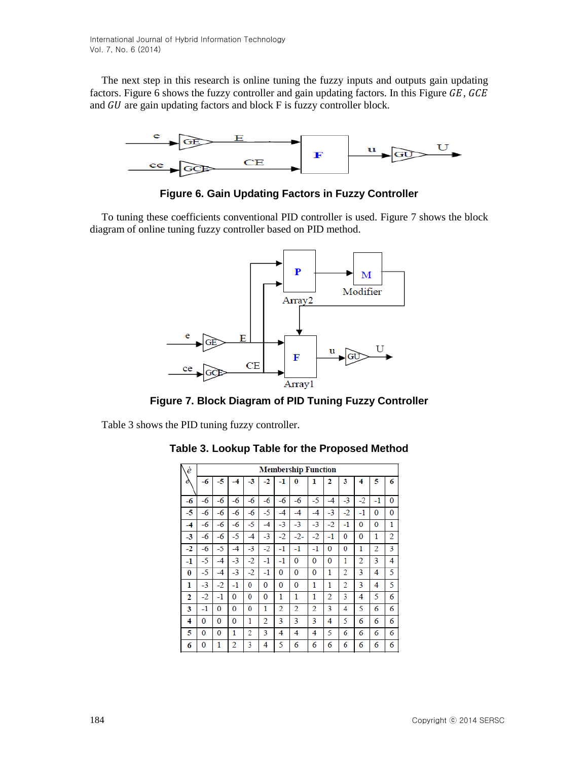The next step in this research is online tuning the fuzzy inputs and outputs gain updating factors. Figure 6 shows the fuzzy controller and gain updating factors. In this Figure  $GE$ ,  $GCE$ and  $GU$  are gain updating factors and block  $F$  is fuzzy controller block.



**Figure 6. Gain Updating Factors in Fuzzy Controller**

To tuning these coefficients conventional PID controller is used. Figure 7 shows the block diagram of online tuning fuzzy controller based on PID method.



**Figure 7. Block Diagram of PID Tuning Fuzzy Controller**

Table 3 shows the PID tuning fuzzy controller.

| Ń<br>è         | <b>Membership Function</b> |      |                |                |      |                |                |                |      |      |      |      |   |
|----------------|----------------------------|------|----------------|----------------|------|----------------|----------------|----------------|------|------|------|------|---|
| ė              | $-6$                       | -5   | -4             | $-3$           | $-2$ | $-1$           | 0              | 1              | 2    | 3    | 4    | 5    | 6 |
| $-6$           | $-6$                       | -6   | $-6$           | -6             | $-6$ | $-6$           | $-6$           | -5             | $-4$ | $-3$ | $-2$ | $-1$ | 0 |
| -5             | $-6$                       | $-6$ | -6             | -6             | $-5$ | -4             | -4             | $-4$           | $-3$ | $-2$ | $-1$ | 0    | 0 |
| -4             | -6                         | -6   | -6             | -5             | -4   | $-3$           | $-3$           | $-3$           | $-2$ | $-1$ | 0    | 0    | 1 |
| $-3$           | -6                         | -6   | -5             | -4             | $-3$ | $-2$           | $-2-$          | $-2$           | -1   | 0    | 0    | 1    | 2 |
| $-2$           | $-6$                       | -5   | $-4$           | $-3$           | $-2$ | $-1$           | $-1$           | $-1$           | 0    | 0    | 1    | 2    | 3 |
| -1             | -5                         | -4   | $-3$           | -2             | $-1$ | $-1$           | 0              | 0              | 0    | 1    | 2    | 3    | 4 |
| 0              | -5                         | -4   | $-3$           | -2             | $-1$ | 0              | 0              | 0              | 1    | 2    | 3    | 4    | 5 |
| 1              | $-3$                       | $-2$ | $-1$           | $\bf{0}$       | 0    | 0              | 0              | 1              | 1    | 2    | 3    | 4    | 5 |
| $\overline{2}$ | $-2$                       | $-1$ | 0              | $\bf{0}$       | 0    | 1              | 1              | 1              | 2    | 3    | 4    | 5    | 6 |
| 3              | $-1$                       | 0    | $\mathbf{0}$   | 0              | 1    | $\overline{2}$ | $\overline{2}$ | $\overline{2}$ | 3    | 4    | 5    | 6    | 6 |
| 4              | 0                          | 0    | 0              | 1              | 2    | 3              | 3              | 3              | 4    | 5    | 6    | 6    | 6 |
| 5              | 0                          | 0    | 1              | $\overline{2}$ | 3    | 4              | 4              | 4              | 5    | 6    | 6    | 6    | 6 |
| 6              | 0                          | 1    | $\overline{2}$ | 3              | 4    | 5              | 6              | 6              | 6    | 6    | 6    | 6    | 6 |

**Table 3. Lookup Table for the Proposed Method**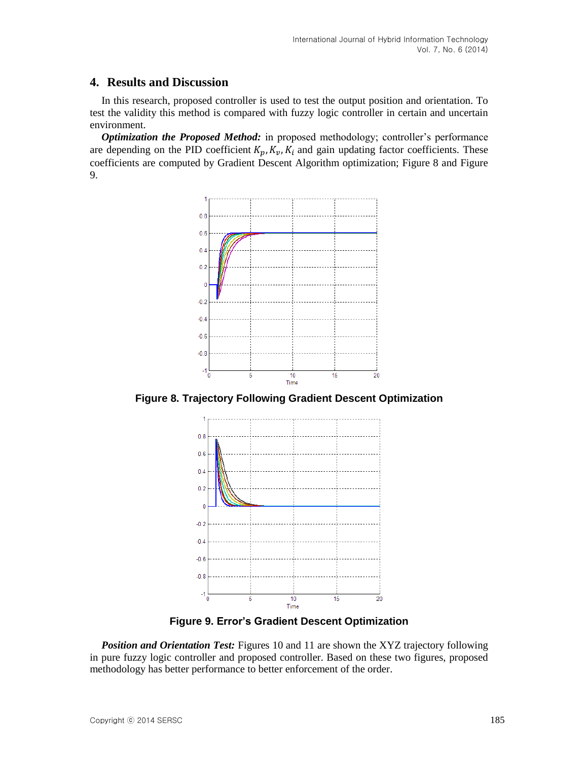### **4. Results and Discussion**

In this research, proposed controller is used to test the output position and orientation. To test the validity this method is compared with fuzzy logic controller in certain and uncertain environment.

*Optimization the Proposed Method:* in proposed methodology; controller's performance are depending on the PID coefficient  $K_p$ ,  $K_v$ ,  $K_i$  and gain updating factor coefficients. These coefficients are computed by Gradient Descent Algorithm optimization; Figure 8 and Figure 9.



**Figure 8. Trajectory Following Gradient Descent Optimization** 



**Figure 9. Error's Gradient Descent Optimization**

**Position and Orientation Test:** Figures 10 and 11 are shown the XYZ trajectory following in pure fuzzy logic controller and proposed controller. Based on these two figures, proposed methodology has better performance to better enforcement of the order.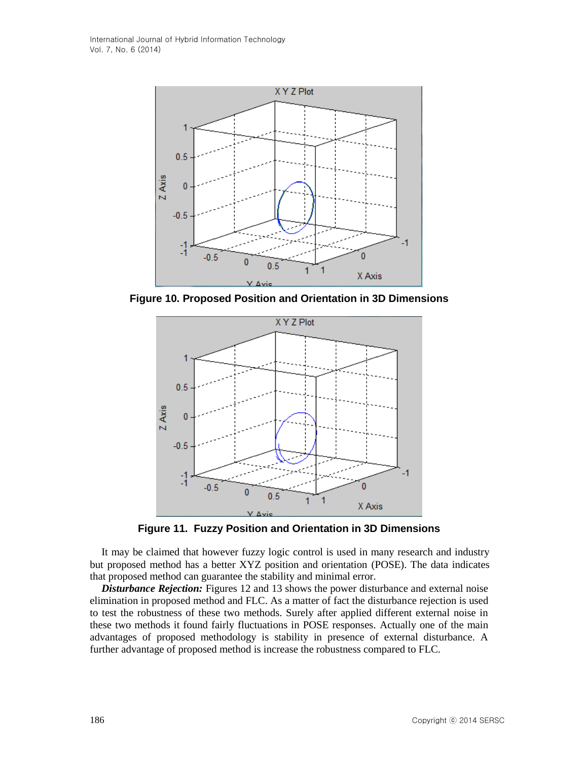

**Figure 10. Proposed Position and Orientation in 3D Dimensions** 



**Figure 11. Fuzzy Position and Orientation in 3D Dimensions** 

It may be claimed that however fuzzy logic control is used in many research and industry but proposed method has a better XYZ position and orientation (POSE). The data indicates that proposed method can guarantee the stability and minimal error.

*Disturbance Rejection:* Figures 12 and 13 shows the power disturbance and external noise elimination in proposed method and FLC. As a matter of fact the disturbance rejection is used to test the robustness of these two methods. Surely after applied different external noise in these two methods it found fairly fluctuations in POSE responses. Actually one of the main advantages of proposed methodology is stability in presence of external disturbance. A further advantage of proposed method is increase the robustness compared to FLC.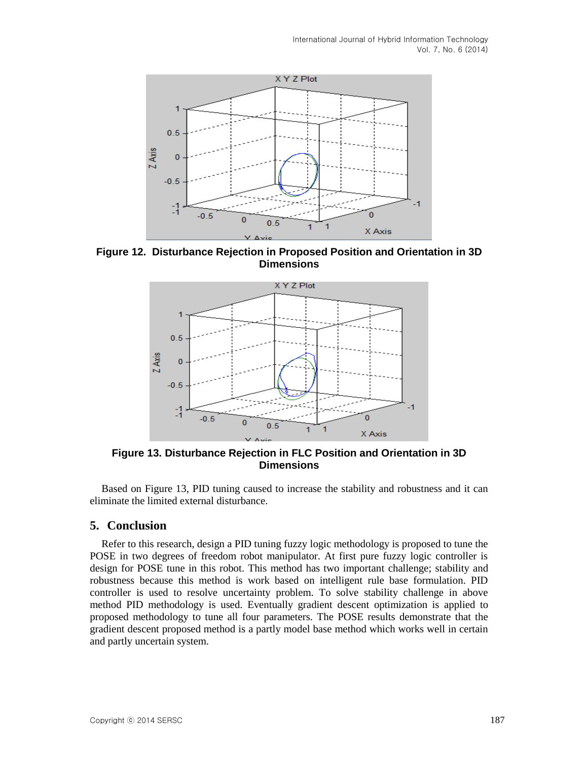

**Figure 12. Disturbance Rejection in Proposed Position and Orientation in 3D Dimensions**



**Figure 13. Disturbance Rejection in FLC Position and Orientation in 3D Dimensions** 

Based on Figure 13, PID tuning caused to increase the stability and robustness and it can eliminate the limited external disturbance.

### **5. Conclusion**

Refer to this research, design a PID tuning fuzzy logic methodology is proposed to tune the POSE in two degrees of freedom robot manipulator. At first pure fuzzy logic controller is design for POSE tune in this robot. This method has two important challenge; stability and robustness because this method is work based on intelligent rule base formulation. PID controller is used to resolve uncertainty problem. To solve stability challenge in above method PID methodology is used. Eventually gradient descent optimization is applied to proposed methodology to tune all four parameters. The POSE results demonstrate that the gradient descent proposed method is a partly model base method which works well in certain and partly uncertain system.